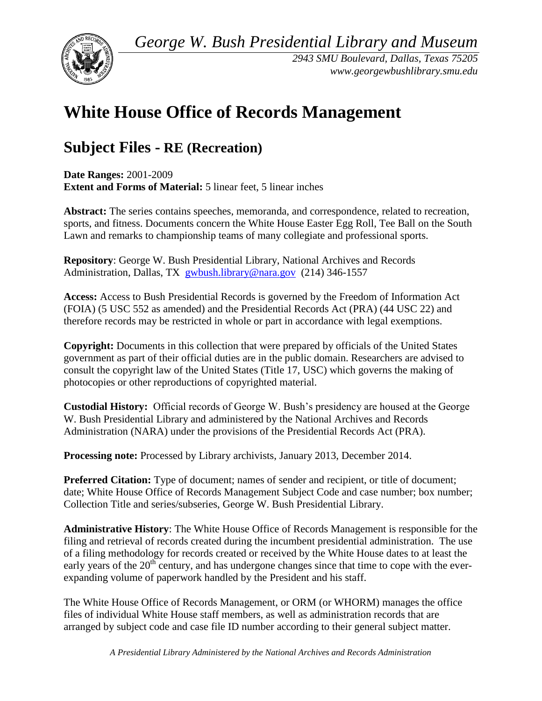*George W. Bush Presidential Library and Museum* 



*2943 SMU Boulevard, Dallas, Texas 75205 <www.georgewbushlibrary.smu.edu>*

# **White House Office of Records Management**

## **Subject Files - RE (Recreation)**

 **Date Ranges:** 2001-2009 **Extent and Forms of Material:** 5 linear feet, 5 linear inches

 sports, and fitness. Documents concern the White House Easter Egg Roll, Tee Ball on the South **Abstract:** The series contains speeches, memoranda, and correspondence, related to recreation, Lawn and remarks to championship teams of many collegiate and professional sports.

Administration, Dallas, TX [gwbush.library@nara.gov](mailto:gwbush.library@nara.gov) (214) 346-1557 **Repository**: George W. Bush Presidential Library, National Archives and Records

**Access:** Access to Bush Presidential Records is governed by the Freedom of Information Act (FOIA) (5 USC 552 as amended) and the Presidential Records Act (PRA) (44 USC 22) and therefore records may be restricted in whole or part in accordance with legal exemptions.

**Copyright:** Documents in this collection that were prepared by officials of the United States government as part of their official duties are in the public domain. Researchers are advised to consult the copyright law of the United States (Title 17, USC) which governs the making of photocopies or other reproductions of copyrighted material.

 **Custodial History:** Official records of George W. Bush's presidency are housed at the George W. Bush Presidential Library and administered by the National Archives and Records Administration (NARA) under the provisions of the Presidential Records Act (PRA).

**Processing note:** Processed by Library archivists, January 2013, December 2014.

**Preferred Citation:** Type of document; names of sender and recipient, or title of document; date; White House Office of Records Management Subject Code and case number; box number; Collection Title and series/subseries, George W. Bush Presidential Library.

**Administrative History**: The White House Office of Records Management is responsible for the filing and retrieval of records created during the incumbent presidential administration. The use of a filing methodology for records created or received by the White House dates to at least the early years of the  $20<sup>th</sup>$  century, and has undergone changes since that time to cope with the everexpanding volume of paperwork handled by the President and his staff.

 The White House Office of Records Management, or ORM (or WHORM) manages the office arranged by subject code and case file ID number according to their general subject matter. files of individual White House staff members, as well as administration records that are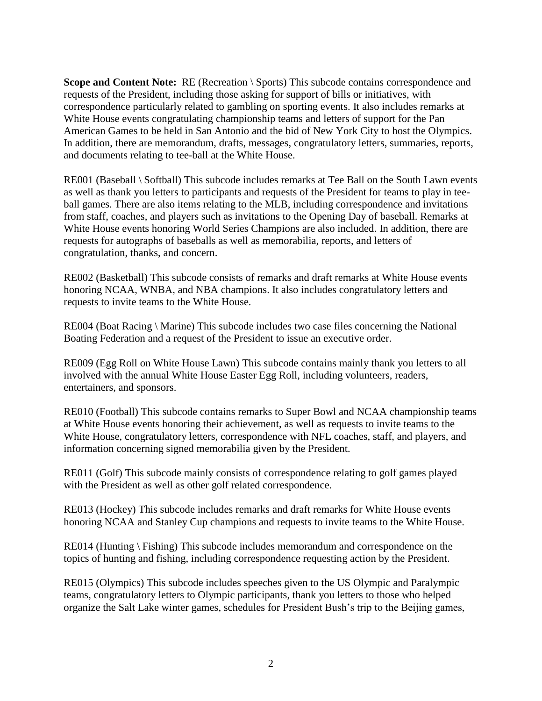**Scope and Content Note:** RE (Recreation \ Sports) This subcode contains correspondence and correspondence particularly related to gambling on sporting events. It also includes remarks at In addition, there are memorandum, drafts, messages, congratulatory letters, summaries, reports, requests of the President, including those asking for support of bills or initiatives, with White House events congratulating championship teams and letters of support for the Pan American Games to be held in San Antonio and the bid of New York City to host the Olympics. and documents relating to tee-ball at the White House.

 RE001 (Baseball \ Softball) This subcode includes remarks at Tee Ball on the South Lawn events requests for autographs of baseballs as well as memorabilia, reports, and letters of as well as thank you letters to participants and requests of the President for teams to play in teeball games. There are also items relating to the MLB, including correspondence and invitations from staff, coaches, and players such as invitations to the Opening Day of baseball. Remarks at White House events honoring World Series Champions are also included. In addition, there are congratulation, thanks, and concern.

RE002 (Basketball) This subcode consists of remarks and draft remarks at White House events honoring NCAA, WNBA, and NBA champions. It also includes congratulatory letters and requests to invite teams to the White House.

 RE004 (Boat Racing \ Marine) This subcode includes two case files concerning the National Boating Federation and a request of the President to issue an executive order.

 RE009 (Egg Roll on White House Lawn) This subcode contains mainly thank you letters to all involved with the annual White House Easter Egg Roll, including volunteers, readers, entertainers, and sponsors.

RE010 (Football) This subcode contains remarks to Super Bowl and NCAA championship teams at White House events honoring their achievement, as well as requests to invite teams to the White House, congratulatory letters, correspondence with NFL coaches, staff, and players, and information concerning signed memorabilia given by the President.

 with the President as well as other golf related correspondence. RE011 (Golf) This subcode mainly consists of correspondence relating to golf games played

RE013 (Hockey) This subcode includes remarks and draft remarks for White House events honoring NCAA and Stanley Cup champions and requests to invite teams to the White House.

 RE014 (Hunting \ Fishing) This subcode includes memorandum and correspondence on the topics of hunting and fishing, including correspondence requesting action by the President.

RE015 (Olympics) This subcode includes speeches given to the US Olympic and Paralympic teams, congratulatory letters to Olympic participants, thank you letters to those who helped organize the Salt Lake winter games, schedules for President Bush's trip to the Beijing games,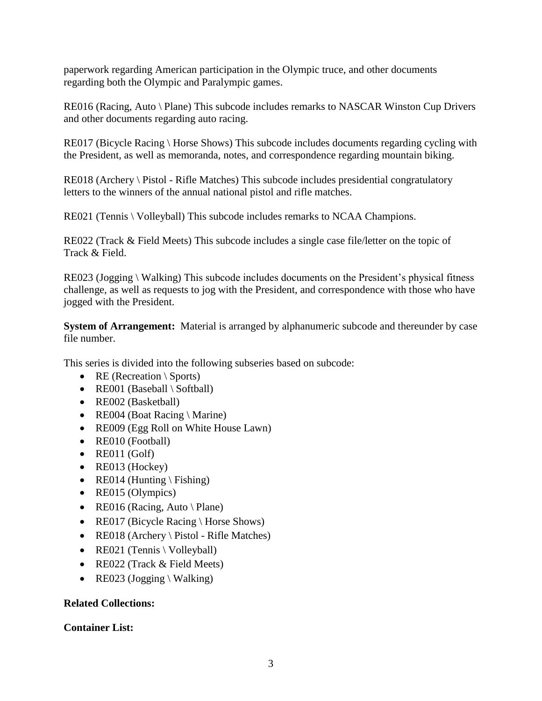regarding both the Olympic and Paralympic games. paperwork regarding American participation in the Olympic truce, and other documents

 RE016 (Racing, Auto \ Plane) This subcode includes remarks to NASCAR Winston Cup Drivers and other documents regarding auto racing.

 RE017 (Bicycle Racing \ Horse Shows) This subcode includes documents regarding cycling with the President, as well as memoranda, notes, and correspondence regarding mountain biking.

 RE018 (Archery \ Pistol - Rifle Matches) This subcode includes presidential congratulatory letters to the winners of the annual national pistol and rifle matches.

RE021 (Tennis \ Volleyball) This subcode includes remarks to NCAA Champions.

 Track & Field. RE022 (Track & Field Meets) This subcode includes a single case file/letter on the topic of

 RE023 (Jogging \ Walking) This subcode includes documents on the President's physical fitness challenge, as well as requests to jog with the President, and correspondence with those who have jogged with the President.

**System of Arrangement:** Material is arranged by alphanumeric subcode and thereunder by case file number.

This series is divided into the following subseries based on subcode:

- RE (Recreation  $\S$ ports)
- RE001 (Baseball  $\setminus$  Softball)
- RE002 (Basketball)
- RE004 (Boat Racing \ Marine)
- RE009 (Egg Roll on White House Lawn)
- RE010 (Football)
- $\bullet$  RE011 (Golf)
- RE013 (Hockey)
- RE014 (Hunting \ Fishing)
- RE015 (Olympics)
- RE016 (Racing, Auto \ Plane)
- RE017 (Bicycle Racing \ Horse Shows)
- RE018 (Archery \ Pistol Rifle Matches)
- RE021 (Tennis \ Volleyball)
- RE022 (Track & Field Meets)
- RE023 (Jogging \ Walking)

# **Related Collections: Container List:**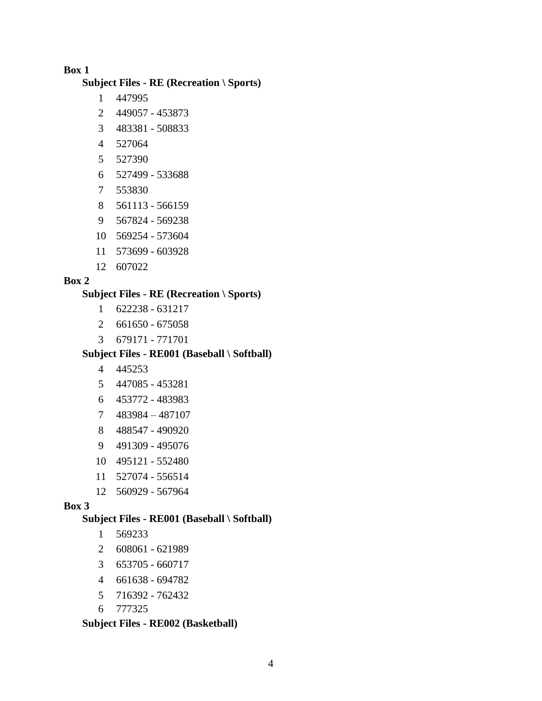**Subject Files - RE (Recreation \ Sports)** 

- 1 447995
- 2 449057 453873
- 3 483381 508833
- 4 527064
- 5 527390
- 6 527499 533688
- 7 553830
- 8 561113 566159
- 9 567824 569238
- 10 569254 573604
- 11 573699 603928
- 12 607022

#### **Box 2**

#### **Subject Files - RE (Recreation \ Sports)**

- 1 622238 631217
- 2 661650 675058
- 3 679171 771701

#### **Subject Files - RE001 (Baseball \ Softball)**

- 4 445253
- 5 447085 453281
- 6 453772 483983
- 7 483984 487107
- 8 488547 490920
- 9 491309 495076
- 10 495121 552480
- 11 527074 556514
- 12 560929 567964

#### **Box 3**

#### **Subject Files - RE001 (Baseball \ Softball)**

- 1 569233
- 2 608061 621989
- 3 653705 660717
- 4 661638 694782
- 5 716392 762432
- 6 777325

#### **Subject Files - RE002 (Basketball)**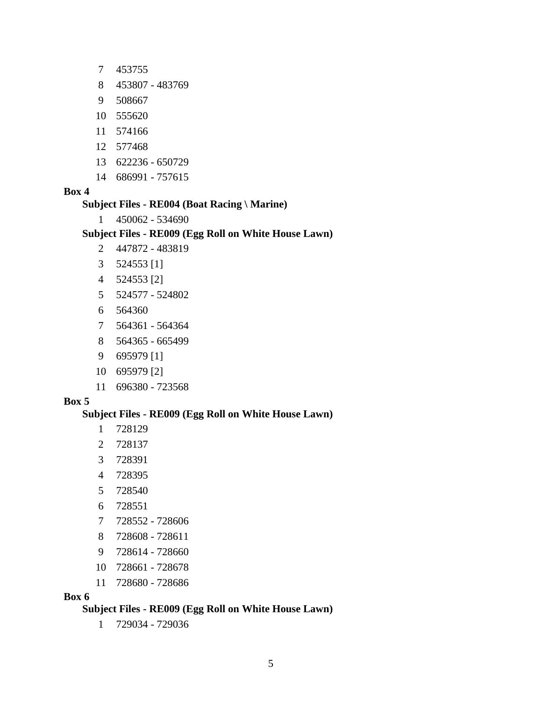- 7 453755
- 8 453807 483769
- 9 508667
- 10 555620
- 11 574166
- 12 577468
- 13 622236 650729
- 14 686991 757615

#### **Subject Files - RE004 (Boat Racing \ Marine)**

1 450062 - 534690

#### **Subject Files - RE009 (Egg Roll on White House Lawn)**

- 2 447872 483819
- 3 524553 [1]
- 4 524553 [2]
- 5 524577 524802
- 6 564360
- 7 564361 564364
- 8 564365 665499
- 9 695979 [1]
- 10 695979 [2]
- 11 696380 723568

#### **Box 5**

#### **Subject Files - RE009 (Egg Roll on White House Lawn)**

- 1 728129
- 2 728137
- 3 728391
- 4 728395
- 5 728540
- 6 728551
- 7 728552 728606
- 728608 728611 8
- 9 728614 728660
- 10 728661 728678
- 11 728680 728686

#### **Box 6**

#### **Subject Files - RE009 (Egg Roll on White House Lawn)**

1 729034 - 729036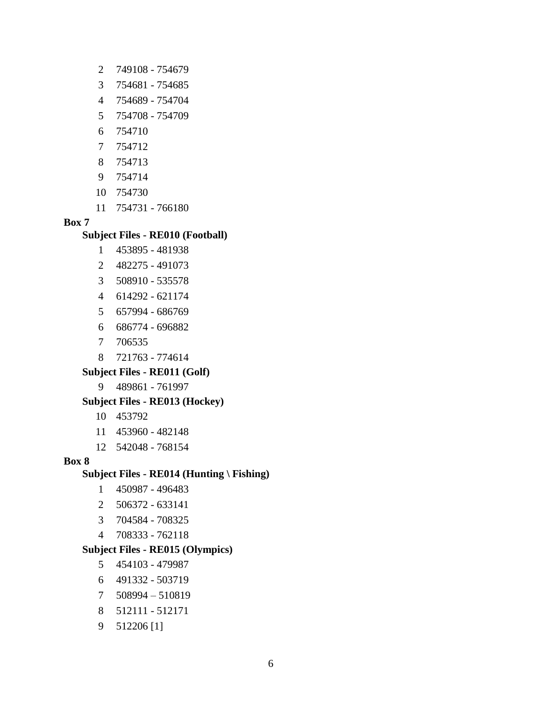- 2 749108 754679
- 3 754681 754685
- 4 754689 754704
- 5 754708 754709
- 6 754710
- 7 754712
- 8 754713
- 9 754714
- 10 754730
- 11 754731 766180

#### **Subject Files - RE010 (Football)**

- 1 453895 481938
- 2 482275 491073
- 3 508910 535578
- 4 614292 621174
- 5 657994 686769
- 6 686774 696882
- 7 706535
- 8 721763 774614

#### **Subject Files - RE011 (Golf)**

9 489861 - 761997

#### **Subject Files - RE013 (Hockey)**

- 10 453792
- 11 453960 482148
- 12 542048 768154

#### **Box 8**

#### **Subject Files - RE014 (Hunting \ Fishing)**

- 1 450987 496483
- 2 506372 633141
- 3 704584 708325
- 4 708333 762118

#### **Subject Files - RE015 (Olympics)**

- 5 454103 479987
- 6 491332 503719
- 7 508994 510819
- 8 512111 512171
- 9 512206 [1]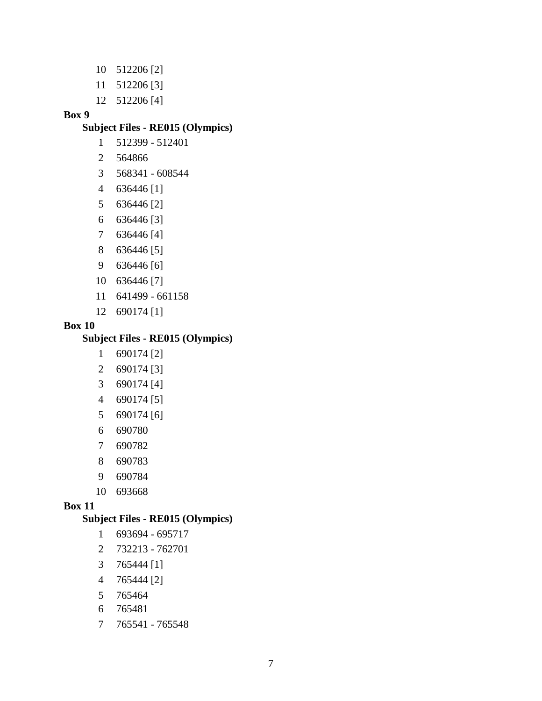- 10 512206 [2]
- 11 512206 [3]
- 12 512206 [4]

#### **Subject Files - RE015 (Olympics)**

- 1 512399 512401
- 2 564866
- 3 568341 608544
- 4 636446 [1]
- 5 636446 [2]
- 6 636446 [3]
- 7 636446 [4]
- 8 636446 [5]
- 9 636446 [6]
- 10 636446 [7]
- 11 641499 661158
- 12 690174 [1]

#### **Box 10**

### **Subject Files - RE015 (Olympics)**

- 1 690174 [2]
- 2 690174 [3]
- 3 690174 [4]
- 4 690174 [5]
- 5 690174 [6]
- 6 690780
- 7 690782
- 8 690783
- 9 690784
- 10 693668

#### **Box 11**

#### **Subject Files - RE015 (Olympics)**

- 1 693694 695717
- 2 732213 762701
- 3 765444 [1]
- 4 765444 [2]
- 5 765464
- 6 765481
- 7 765541 765548